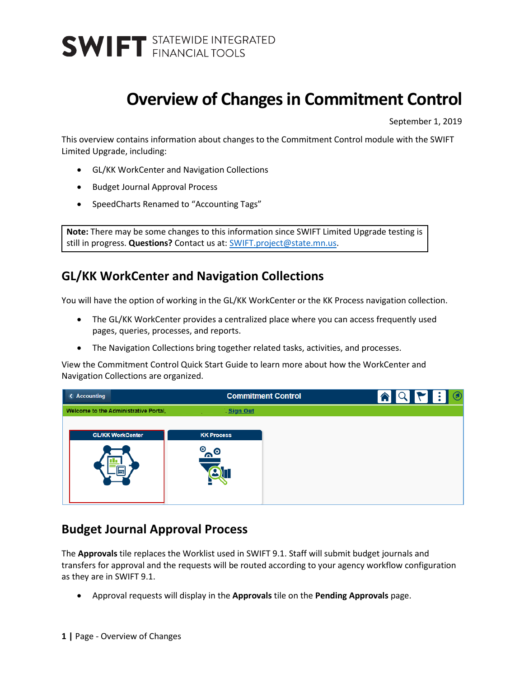### **Overview of Changes in Commitment Control**

September 1, 2019

This overview contains information about changes to the Commitment Control module with the SWIFT Limited Upgrade, including:

- GL/KK WorkCenter and Navigation Collections
- Budget Journal Approval Process
- SpeedCharts Renamed to "Accounting Tags"

**Note:** There may be some changes to this information since SWIFT Limited Upgrade testing is still in progress. **Questions?** Contact us at: [SWIFT.project@state.mn.us.](mailto:SWIFT.project@state.mn.us?subject=SWIFT%20Limited%20Upgrade%20Question)

### **GL/KK WorkCenter and Navigation Collections**

You will have the option of working in the GL/KK WorkCenter or the KK Process navigation collection.

- The GL/KK WorkCenter provides a centralized place where you can access frequently used pages, queries, processes, and reports.
- The Navigation Collections bring together related tasks, activities, and processes.

View the Commitment Control Quick Start Guide to learn more about how the WorkCenter and Navigation Collections are organized.

| <b>&lt; Accounting</b>                | <b>Commitment Control</b>   | $\circledcirc$<br>II B<br>合<br><b>IQF</b><br>IM |
|---------------------------------------|-----------------------------|-------------------------------------------------|
| Welcome to the Administrative Portal, | Sign Out                    |                                                 |
| <b>GL/KK WorkCenter</b><br>ĦП         | <b>KK Process</b><br>⊚<br>െ |                                                 |

#### **Budget Journal Approval Process**

The **Approvals** tile replaces the Worklist used in SWIFT 9.1. Staff will submit budget journals and transfers for approval and the requests will be routed according to your agency workflow configuration as they are in SWIFT 9.1.

• Approval requests will display in the **Approvals** tile on the **Pending Approvals** page.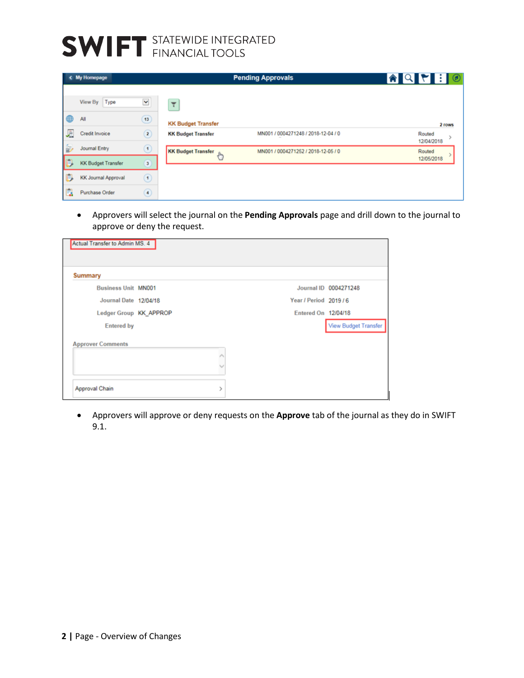# **SWIFT** STATEWIDE INTEGRATED

|    | < My Homepage                              |                                          | <b>Pending Approvals</b>                               | $\bullet \; \bullet \; \bullet \; \bullet$ |                                |
|----|--------------------------------------------|------------------------------------------|--------------------------------------------------------|--------------------------------------------|--------------------------------|
| ⊕  | View By Type<br>All                        | $\blacktriangleright$<br>13 <sup>°</sup> | ₹                                                      |                                            |                                |
| 遍  | Credit Invoice                             | $\circledR$                              | <b>KK Budget Transfer</b><br><b>KK Budget Transfer</b> | MN001 / 0004271248 / 2018-12-04 / 0        | 2 rows<br>Routed<br>12/04/2018 |
| 最  | Journal Entry<br><b>KK Budget Transfer</b> | $\odot$<br>$\sqrt{3}$                    | <b>KK Budget Transfer</b><br>$\sqrt[3]{n}$             | MN001 / 0004271252 / 2018-12-05 / 0        | Routed<br>12/05/2018           |
| B  | <b>KK Journal Approval</b>                 | $\left( 1\right)$                        |                                                        |                                            |                                |
| E. | Purchase Order                             | $\circledast$                            |                                                        |                                            |                                |

• Approvers will select the journal on the **Pending Approvals** page and drill down to the journal to approve or deny the request.

| <b>Summary</b>             |   |                        |                       |
|----------------------------|---|------------------------|-----------------------|
| <b>Business Unit MN001</b> |   |                        | Journal ID 0004271248 |
| Journal Date 12/04/18      |   | Year / Period 2019 / 6 |                       |
| Ledger Group KK_APPROP     |   | Entered On 12/04/18    |                       |
| <b>Entered by</b>          |   |                        | View Budget Transfer  |
| <b>Approver Comments</b>   |   |                        |                       |
|                            | Λ |                        |                       |
|                            | w |                        |                       |

• Approvers will approve or deny requests on the **Approve** tab of the journal as they do in SWIFT 9.1.